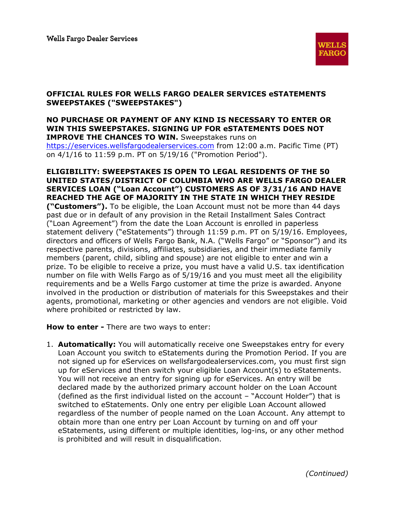

## **OFFICIAL RULES FOR WELLS FARGO DEALER SERVICES eSTATEMENTS SWEEPSTAKES ("SWEEPSTAKES")**

## **NO PURCHASE OR PAYMENT OF ANY KIND IS NECESSARY TO ENTER OR WIN THIS SWEEPSTAKES. SIGNING UP FOR eSTATEMENTS DOES NOT IMPROVE THE CHANCES TO WIN.** Sweepstakes runs on https://eservices.wellsfargodealerservices.com from 12:00 a.m. Pacific Time (PT) on 4/1/16 to 11:59 p.m. PT on 5/19/16 ("Promotion Period").

**ELIGIBILITY: SWEEPSTAKES IS OPEN TO LEGAL RESIDENTS OF THE 50 UNITED STATES/DISTRICT OF COLUMBIA WHO ARE WELLS FARGO DEALER SERVICES LOAN ("Loan Account") CUSTOMERS AS OF 3/31/16 AND HAVE REACHED THE AGE OF MAJORITY IN THE STATE IN WHICH THEY RESIDE ("Customers").** To be eligible, the Loan Account must not be more than 44 days past due or in default of any provision in the Retail Installment Sales Contract ("Loan Agreement") from the date the Loan Account is enrolled in paperless statement delivery ("eStatements") through 11:59 p.m. PT on 5/19/16. Employees, directors and officers of Wells Fargo Bank, N.A. ("Wells Fargo" or "Sponsor") and its respective parents, divisions, affiliates, subsidiaries, and their immediate family members (parent, child, sibling and spouse) are not eligible to enter and win a prize. To be eligible to receive a prize, you must have a valid U.S. tax identification number on file with Wells Fargo as of 5/19/16 and you must meet all the eligibility requirements and be a Wells Fargo customer at time the prize is awarded. Anyone involved in the production or distribution of materials for this Sweepstakes and their agents, promotional, marketing or other agencies and vendors are not eligible. Void where prohibited or restricted by law.

**How to enter -** There are two ways to enter:

1. **Automatically:** You will automatically receive one Sweepstakes entry for every Loan Account you switch to eStatements during the Promotion Period. If you are not signed up for eServices on wellsfargodealerservices.com, you must first sign up for eServices and then switch your eligible Loan Account(s) to eStatements. You will not receive an entry for signing up for eServices. An entry will be declared made by the authorized primary account holder on the Loan Account (defined as the first individual listed on the account – "Account Holder") that is switched to eStatements. Only one entry per eligible Loan Account allowed regardless of the number of people named on the Loan Account. Any attempt to obtain more than one entry per Loan Account by turning on and off your eStatements, using different or multiple identities, log-ins, or any other method is prohibited and will result in disqualification.

*(Continued)*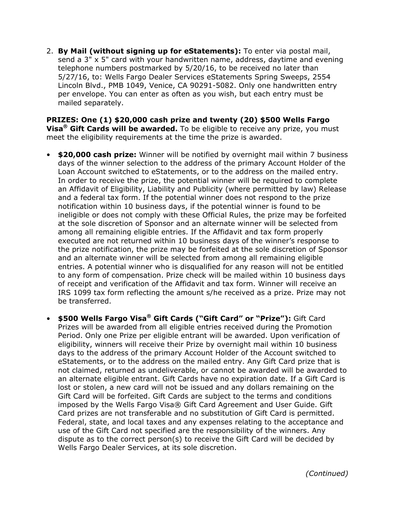2. **By Mail (without signing up for eStatements):** To enter via postal mail, send a 3" x 5" card with your handwritten name, address, daytime and evening telephone numbers postmarked by 5/20/16, to be received no later than 5/27/16, to: Wells Fargo Dealer Services eStatements Spring Sweeps, 2554 Lincoln Blvd., PMB 1049, Venice, CA 90291-5082. Only one handwritten entry per envelope. You can enter as often as you wish, but each entry must be mailed separately.

**PRIZES: One (1) \$20,000 cash prize and twenty (20) \$500 Wells Fargo Visa® Gift Cards will be awarded.** To be eligible to receive any prize, you must meet the eligibility requirements at the time the prize is awarded.

- **\$20,000 cash prize:** Winner will be notified by overnight mail within 7 business days of the winner selection to the address of the primary Account Holder of the Loan Account switched to eStatements, or to the address on the mailed entry. In order to receive the prize, the potential winner will be required to complete an Affidavit of Eligibility, Liability and Publicity (where permitted by law) Release and a federal tax form. If the potential winner does not respond to the prize notification within 10 business days, if the potential winner is found to be ineligible or does not comply with these Official Rules, the prize may be forfeited at the sole discretion of Sponsor and an alternate winner will be selected from among all remaining eligible entries. If the Affidavit and tax form properly executed are not returned within 10 business days of the winner's response to the prize notification, the prize may be forfeited at the sole discretion of Sponsor and an alternate winner will be selected from among all remaining eligible entries. A potential winner who is disqualified for any reason will not be entitled to any form of compensation. Prize check will be mailed within 10 business days of receipt and verification of the Affidavit and tax form. Winner will receive an IRS 1099 tax form reflecting the amount s/he received as a prize. Prize may not be transferred.
- **\$500 Wells Fargo Visa® Gift Cards ("Gift Card" or "Prize"):** Gift Card Prizes will be awarded from all eligible entries received during the Promotion Period. Only one Prize per eligible entrant will be awarded. Upon verification of eligibility, winners will receive their Prize by overnight mail within 10 business days to the address of the primary Account Holder of the Account switched to eStatements, or to the address on the mailed entry. Any Gift Card prize that is not claimed, returned as undeliverable, or cannot be awarded will be awarded to an alternate eligible entrant. Gift Cards have no expiration date. If a Gift Card is lost or stolen, a new card will not be issued and any dollars remaining on the Gift Card will be forfeited. Gift Cards are subject to the terms and conditions imposed by the Wells Fargo Visa® Gift Card Agreement and User Guide. Gift Card prizes are not transferable and no substitution of Gift Card is permitted. Federal, state, and local taxes and any expenses relating to the acceptance and use of the Gift Card not specified are the responsibility of the winners. Any dispute as to the correct person(s) to receive the Gift Card will be decided by Wells Fargo Dealer Services, at its sole discretion.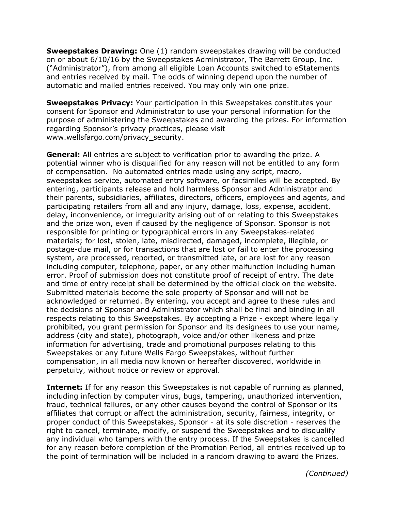**Sweepstakes Drawing:** One (1) random sweepstakes drawing will be conducted on or about 6/10/16 by the Sweepstakes Administrator, The Barrett Group, Inc. ("Administrator"), from among all eligible Loan Accounts switched to eStatements and entries received by mail. The odds of winning depend upon the number of automatic and mailed entries received. You may only win one prize.

**Sweepstakes Privacy:** Your participation in this Sweepstakes constitutes your consent for Sponsor and Administrator to use your personal information for the purpose of administering the Sweepstakes and awarding the prizes. For information regarding Sponsor's privacy practices, please visit www.wellsfargo.com/privacy\_security.

**General:** All entries are subject to verification prior to awarding the prize. A potential winner who is disqualified for any reason will not be entitled to any form of compensation. No automated entries made using any script, macro, sweepstakes service, automated entry software, or facsimiles will be accepted. By entering, participants release and hold harmless Sponsor and Administrator and their parents, subsidiaries, affiliates, directors, officers, employees and agents, and participating retailers from all and any injury, damage, loss, expense, accident, delay, inconvenience, or irregularity arising out of or relating to this Sweepstakes and the prize won, even if caused by the negligence of Sponsor. Sponsor is not responsible for printing or typographical errors in any Sweepstakes-related materials; for lost, stolen, late, misdirected, damaged, incomplete, illegible, or postage-due mail, or for transactions that are lost or fail to enter the processing system, are processed, reported, or transmitted late, or are lost for any reason including computer, telephone, paper, or any other malfunction including human error. Proof of submission does not constitute proof of receipt of entry. The date and time of entry receipt shall be determined by the official clock on the website. Submitted materials become the sole property of Sponsor and will not be acknowledged or returned. By entering, you accept and agree to these rules and the decisions of Sponsor and Administrator which shall be final and binding in all respects relating to this Sweepstakes. By accepting a Prize - except where legally prohibited, you grant permission for Sponsor and its designees to use your name, address (city and state), photograph, voice and/or other likeness and prize information for advertising, trade and promotional purposes relating to this Sweepstakes or any future Wells Fargo Sweepstakes, without further compensation, in all media now known or hereafter discovered, worldwide in perpetuity, without notice or review or approval.

**Internet:** If for any reason this Sweepstakes is not capable of running as planned, including infection by computer virus, bugs, tampering, unauthorized intervention, fraud, technical failures, or any other causes beyond the control of Sponsor or its affiliates that corrupt or affect the administration, security, fairness, integrity, or proper conduct of this Sweepstakes, Sponsor - at its sole discretion - reserves the right to cancel, terminate, modify, or suspend the Sweepstakes and to disqualify any individual who tampers with the entry process. If the Sweepstakes is cancelled for any reason before completion of the Promotion Period, all entries received up to the point of termination will be included in a random drawing to award the Prizes.

*(Continued)*